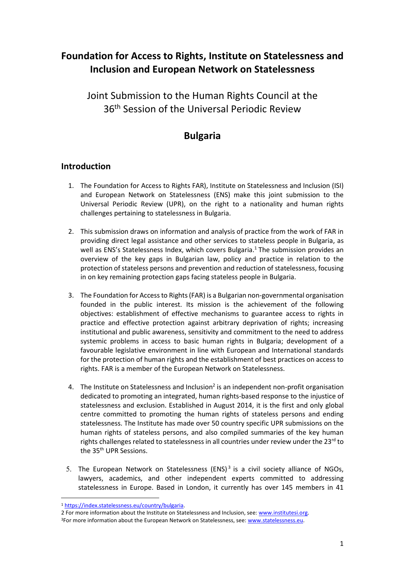# **Foundation for Access to Rights, Institute on Statelessness and Inclusion and European Network on Statelessness**

Joint Submission to the Human Rights Council at the 36<sup>th</sup> Session of the Universal Periodic Review

# **Bulgaria**

## **Introduction**

- 1. The Foundation for Access to Rights FAR), Institute on Statelessness and Inclusion (ISI) and European Network on Statelessness (ENS) make this joint submission to the Universal Periodic Review (UPR), on the right to a nationality and human rights challenges pertaining to statelessness in Bulgaria.
- 2. This submission draws on information and analysis of practice from the work of FAR in providing direct legal assistance and other services to stateless people in Bulgaria, as well as ENS's Statelessness Index, which covers Bulgaria.<sup>1</sup> The submission provides an overview of the key gaps in Bulgarian law, policy and practice in relation to the protection of stateless persons and prevention and reduction of statelessness, focusing in on key remaining protection gaps facing stateless people in Bulgaria.
- 3. The Foundation for Access to Rights (FAR) is a Bulgarian non-governmental organisation founded in the public interest. Its mission is the achievement of the following objectives: establishment of effective mechanisms to guarantee access to rights in practice and effective protection against arbitrary deprivation of rights; increasing institutional and public awareness, sensitivity and commitment to the need to address systemic problems in access to basic human rights in Bulgaria; development of a favourable legislative environment in line with European and International standards for the protection of human rights and the establishment of best practices on access to rights. FAR is a member of the European Network on Statelessness.
- 4. The Institute on Statelessness and Inclusion<sup>2</sup> is an independent non-profit organisation dedicated to promoting an integrated, human rights-based response to the injustice of statelessness and exclusion. Established in August 2014, it is the first and only global centre committed to promoting the human rights of stateless persons and ending statelessness. The Institute has made over 50 country specific UPR submissions on the human rights of stateless persons, and also compiled summaries of the key human rights challenges related to statelessness in all countries under review under the 23rd to the 35<sup>th</sup> UPR Sessions.
- 5. The European Network on Statelessness (ENS) $3$  is a civil society alliance of NGOs, lawyers, academics, and other independent experts committed to addressing statelessness in Europe. Based in London, it currently has over 145 members in 41

<sup>&</sup>lt;u>.</u> <sup>1</sup> [https://index.statelessness.eu/country/bulgaria.](https://index.statelessness.eu/country/bulgaria)

<sup>2</sup> For more information about the Institute on Statelessness and Inclusion, see[: www.institutesi.org.](http://www.institutesi.org/) <sup>3</sup>For more information about the European Network on Statelessness, see[: www.statelessness.eu.](http://www.statelessness.eu/)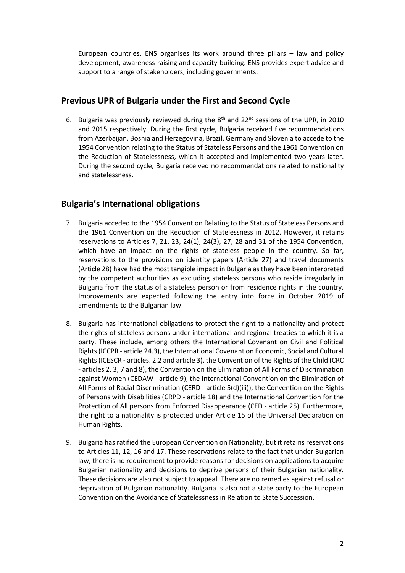European countries. ENS organises its work around three pillars – law and policy development, awareness-raising and capacity-building. ENS provides expert advice and support to a range of stakeholders, including governments.

# **Previous UPR of Bulgaria under the First and Second Cycle**

6. Bulgaria was previously reviewed during the  $8<sup>th</sup>$  and 22<sup>nd</sup> sessions of the UPR, in 2010 and 2015 respectively. During the first cycle, Bulgaria received five recommendations from Azerbaijan, Bosnia and Herzegovina, Brazil, Germany and Slovenia to accede to the 1954 Convention relating to the Status of Stateless Persons and the 1961 Convention on the Reduction of Statelessness, which it accepted and implemented two years later. During the second cycle, Bulgaria received no recommendations related to nationality and statelessness.

# **Bulgaria's International obligations**

- 7. Bulgaria acceded to the 1954 Convention Relating to the Status of Stateless Persons and the 1961 Convention on the Reduction of Statelessness in 2012. However, it retains reservations to Articles 7, 21, 23, 24(1), 24(3), 27, 28 and 31 of the 1954 Convention, which have an impact on the rights of stateless people in the country. So far, reservations to the provisions on identity papers (Article 27) and travel documents (Article 28) have had the most tangible impact in Bulgaria as they have been interpreted by the competent authorities as excluding stateless persons who reside irregularly in Bulgaria from the status of a stateless person or from residence rights in the country. Improvements are expected following the entry into force in October 2019 of amendments to the Bulgarian law.
- 8. Bulgaria has international obligations to protect the right to a nationality and protect the rights of stateless persons under international and regional treaties to which it is a party. These include, among others the International Covenant on Civil and Political Rights (ICCPR - article 24.3), the International Covenant on Economic, Social and Cultural Rights (ICESCR - articles. 2.2 and article 3), the Convention of the Rights of the Child (CRC - articles 2, 3, 7 and 8), the Convention on the Elimination of All Forms of Discrimination against Women (CEDAW - article 9), the International Convention on the Elimination of All Forms of Racial Discrimination (CERD - article 5(d)(iii)), the Convention on the Rights of Persons with Disabilities (CRPD - article 18) and the International Convention for the Protection of All persons from Enforced Disappearance (CED - article 25). Furthermore, the right to a nationality is protected under Article 15 of the Universal Declaration on Human Rights.
- 9. Bulgaria has ratified the European Convention on Nationality, but it retains reservations to Articles 11, 12, 16 and 17. These reservations relate to the fact that under Bulgarian law, there is no requirement to provide reasons for decisions on applications to acquire Bulgarian nationality and decisions to deprive persons of their Bulgarian nationality. These decisions are also not subject to appeal. There are no remedies against refusal or deprivation of Bulgarian nationality. Bulgaria is also not a state party to the European Convention on the Avoidance of Statelessness in Relation to State Succession.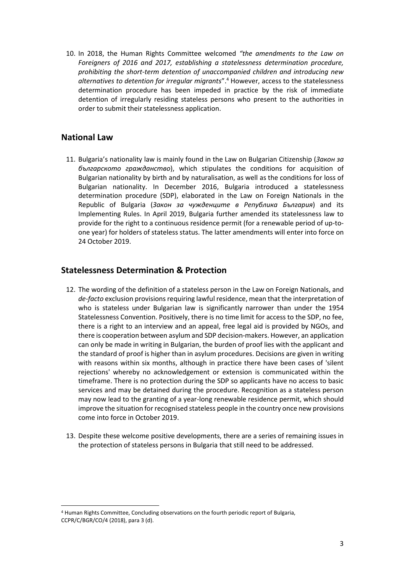10. In 2018, the Human Rights Committee welcomed *"the amendments to the Law on Foreigners of 2016 and 2017, establishing a statelessness determination procedure, prohibiting the short-term detention of unaccompanied children and introducing new alternatives to detention for irregular migrants*".<sup>4</sup> However, access to the statelessness determination procedure has been impeded in practice by the risk of immediate detention of irregularly residing stateless persons who present to the authorities in order to submit their statelessness application.

### **National Law**

<u>.</u>

11. Bulgaria's nationality law is mainly found in the Law on Bulgarian Citizenship (*Закон за българското гражданство*), which stipulates the conditions for acquisition of Bulgarian nationality by birth and by naturalisation, as well as the conditions for loss of Bulgarian nationality. In December 2016, Bulgaria introduced a statelessness determination procedure (SDP), elaborated in the Law on Foreign Nationals in the Republic of Bulgaria (*Закон за чужденците в Република България*) and its Implementing Rules. In April 2019, Bulgaria further amended its statelessness law to provide for the right to a continuous residence permit (for a renewable period of up-toone year) for holders of stateless status. The latter amendments will enter into force on 24 October 2019.

### **Statelessness Determination & Protection**

- 12. The wording of the definition of a stateless person in the Law on Foreign Nationals, and *de-facto* exclusion provisions requiring lawful residence, mean that the interpretation of who is stateless under Bulgarian law is significantly narrower than under the 1954 Statelessness Convention. Positively, there is no time limit for access to the SDP, no fee, there is a right to an interview and an appeal, free legal aid is provided by NGOs, and there is cooperation between asylum and SDP decision-makers. However, an application can only be made in writing in Bulgarian, the burden of proof lies with the applicant and the standard of proof is higher than in asylum procedures. Decisions are given in writing with reasons within six months, although in practice there have been cases of 'silent rejections' whereby no acknowledgement or extension is communicated within the timeframe. There is no protection during the SDP so applicants have no access to basic services and may be detained during the procedure. Recognition as a stateless person may now lead to the granting of a year-long renewable residence permit, which should improve the situation for recognised stateless people in the country once new provisions come into force in October 2019.
- 13. Despite these welcome positive developments, there are a series of remaining issues in the protection of stateless persons in Bulgaria that still need to be addressed.

<sup>4</sup> Human Rights Committee, Concluding observations on the fourth periodic report of Bulgaria, CCPR/C/BGR/CO/4 (2018), para 3 (d).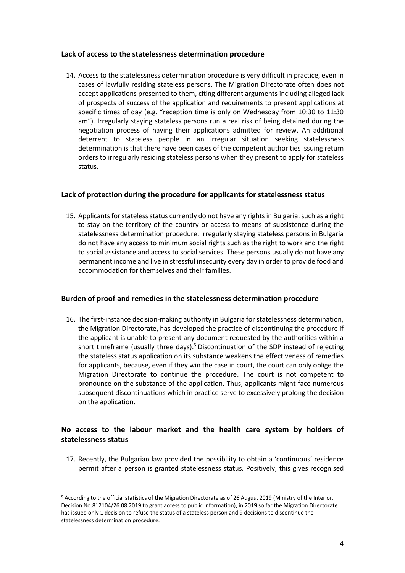#### **Lack of access to the statelessness determination procedure**

14. Access to the statelessness determination procedure is very difficult in practice, even in cases of lawfully residing stateless persons. The Migration Directorate often does not accept applications presented to them, citing different arguments including alleged lack of prospects of success of the application and requirements to present applications at specific times of day (e.g. "reception time is only on Wednesday from 10:30 to 11:30 am"). Irregularly staying stateless persons run a real risk of being detained during the negotiation process of having their applications admitted for review. An additional deterrent to stateless people in an irregular situation seeking statelessness determination is that there have been cases of the competent authorities issuing return orders to irregularly residing stateless persons when they present to apply for stateless status.

#### **Lack of protection during the procedure for applicants for statelessness status**

15. Applicants for stateless status currently do not have any rightsin Bulgaria, such as a right to stay on the territory of the country or access to means of subsistence during the statelessness determination procedure. Irregularly staying stateless persons in Bulgaria do not have any access to minimum social rights such as the right to work and the right to social assistance and access to social services. These persons usually do not have any permanent income and live in stressful insecurity every day in order to provide food and accommodation for themselves and their families.

#### **Burden of proof and remedies in the statelessness determination procedure**

16. The first-instance decision-making authority in Bulgaria for statelessness determination, the Migration Directorate, has developed the practice of discontinuing the procedure if the applicant is unable to present any document requested by the authorities within a short timeframe (usually three days). <sup>5</sup> Discontinuation of the SDP instead of rejecting the stateless status application on its substance weakens the effectiveness of remedies for applicants, because, even if they win the case in court, the court can only oblige the Migration Directorate to continue the procedure. The court is not competent to pronounce on the substance of the application. Thus, applicants might face numerous subsequent discontinuations which in practice serve to excessively prolong the decision on the application.

### **No access to the labour market and the health care system by holders of statelessness status**

17. Recently, the Bulgarian law provided the possibility to obtain a 'continuous' residence permit after a person is granted statelessness status. Positively, this gives recognised

<u>.</u>

<sup>5</sup> According to the official statistics of the Migration Directorate as of 26 August 2019 (Ministry of the Interior, Decision No.812104/26.08.2019 to grant access to public information), in 2019 so far the Migration Directorate has issued only 1 decision to refuse the status of a stateless person and 9 decisions to discontinue the statelessness determination procedure.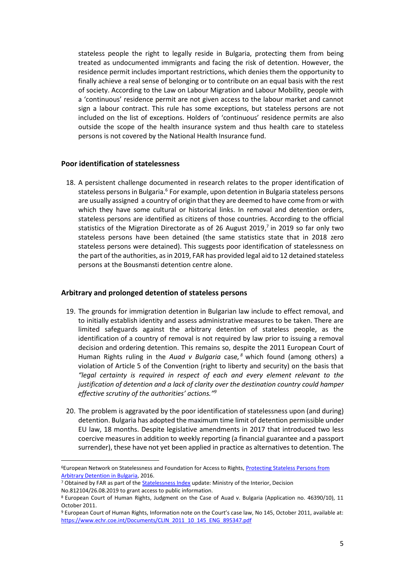stateless people the right to legally reside in Bulgaria, protecting them from being treated as undocumented immigrants and facing the risk of detention. However, the residence permit includes important restrictions, which denies them the opportunity to finally achieve a real sense of belonging or to contribute on an equal basis with the rest of society. According to the Law on Labour Migration and Labour Mobility, people with a 'continuous' residence permit are not given access to the labour market and cannot sign a labour contract. This rule has some exceptions, but stateless persons are not included on the list of exceptions. Holders of 'continuous' residence permits are also outside the scope of the health insurance system and thus health care to stateless persons is not covered by the National Health Insurance fund.

#### **Poor identification of statelessness**

18. A persistent challenge documented in research relates to the proper identification of stateless persons in Bulgaria.<sup>6</sup> For example, upon detention in Bulgaria stateless persons are usually assigned a country of origin that they are deemed to have come from or with which they have some cultural or historical links. In removal and detention orders, stateless persons are identified as citizens of those countries. According to the official statistics of the Migration Directorate as of 26 August 2019,<sup>7</sup> in 2019 so far only two stateless persons have been detained (the same statistics state that in 2018 zero stateless persons were detained). This suggests poor identification of statelessness on the part of the authorities, as in 2019, FAR has provided legal aid to 12 detained stateless persons at the Bousmansti detention centre alone.

#### **Arbitrary and prolonged detention of stateless persons**

- 19. The grounds for immigration detention in Bulgarian law include to effect removal, and to initially establish identity and assess administrative measures to be taken. There are limited safeguards against the arbitrary detention of stateless people, as the identification of a country of removal is not required by law prior to issuing a removal decision and ordering detention. This remains so, despite the 2011 European Court of Human Rights ruling in the *Auad v Bulgaria* case*, <sup>8</sup>* which found (among others) a violation of Article 5 of the Convention (right to liberty and security) on the basis that *"legal certainty is required in respect of each and every element relevant to the justification of detention and a lack of clarity over the destination country could hamper effective scrutiny of the authorities' actions." 9*
- 20. The problem is aggravated by the poor identification of statelessness upon (and during) detention. Bulgaria has adopted the maximum time limit of detention permissible under EU law, 18 months. Despite legislative amendments in 2017 that introduced two less coercive measures in addition to weekly reporting (a financial guarantee and a passport surrender), these have not yet been applied in practice as alternatives to detention. The

<u>.</u>

<sup>6</sup>European Network on Statelessness and Foundation for Access to Rights[, Protecting Stateless Persons from](https://www.statelessness.eu/resources/protecting-stateless-persons-arbitrary-detention-bulgaria)  [Arbitrary Detention in Bulgaria,](https://www.statelessness.eu/resources/protecting-stateless-persons-arbitrary-detention-bulgaria) 2016.

<sup>7</sup> Obtained by FAR as part of the [Statelessness Index](https://index.statelessness.eu/) update: Ministry of the Interior, Decision

No.812104/26.08.2019 to grant access to public information.

<sup>8</sup> European Court of Human Rights, Judgment on the Case of Auad v. Bulgaria (Application no. 46390/10), 11 October 2011.

<sup>9</sup> European Court of Human Rights, Information note on the Court's case law, No 145, October 2011, available at: [https://www.echr.coe.int/Documents/CLIN\\_2011\\_10\\_145\\_ENG\\_895347.pdf](https://www.echr.coe.int/Documents/CLIN_2011_10_145_ENG_895347.pdf)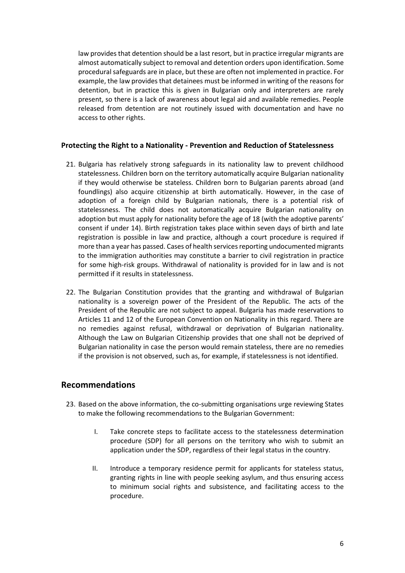law provides that detention should be a last resort, but in practice irregular migrants are almost automatically subject to removal and detention orders upon identification. Some procedural safeguards are in place, but these are often not implemented in practice. For example, the law provides that detainees must be informed in writing of the reasons for detention, but in practice this is given in Bulgarian only and interpreters are rarely present, so there is a lack of awareness about legal aid and available remedies. People released from detention are not routinely issued with documentation and have no access to other rights.

#### **Protecting the Right to a Nationality - Prevention and Reduction of Statelessness**

- 21. Bulgaria has relatively strong safeguards in its nationality law to prevent childhood statelessness. Children born on the territory automatically acquire Bulgarian nationality if they would otherwise be stateless. Children born to Bulgarian parents abroad (and foundlings) also acquire citizenship at birth automatically. However, in the case of adoption of a foreign child by Bulgarian nationals, there is a potential risk of statelessness. The child does not automatically acquire Bulgarian nationality on adoption but must apply for nationality before the age of 18 (with the adoptive parents' consent if under 14). Birth registration takes place within seven days of birth and late registration is possible in law and practice, although a court procedure is required if more than a year has passed. Cases of health services reporting undocumented migrants to the immigration authorities may constitute a barrier to civil registration in practice for some high-risk groups. Withdrawal of nationality is provided for in law and is not permitted if it results in statelessness.
- 22. The Bulgarian Constitution provides that the granting and withdrawal of Bulgarian nationality is a sovereign power of the President of the Republic. The acts of the President of the Republic are not subject to appeal. Bulgaria has made reservations to Articles 11 and 12 of the European Convention on Nationality in this regard. There are no remedies against refusal, withdrawal or deprivation of Bulgarian nationality. Although the Law on Bulgarian Citizenship provides that one shall not be deprived of Bulgarian nationality in case the person would remain stateless, there are no remedies if the provision is not observed, such as, for example, if statelessness is not identified.

### **Recommendations**

- 23. Based on the above information, the co-submitting organisations urge reviewing States to make the following recommendations to the Bulgarian Government:
	- I. Take concrete steps to facilitate access to the statelessness determination procedure (SDP) for all persons on the territory who wish to submit an application under the SDP, regardless of their legal status in the country.
	- II. Introduce a temporary residence permit for applicants for stateless status, granting rights in line with people seeking asylum, and thus ensuring access to minimum social rights and subsistence, and facilitating access to the procedure.